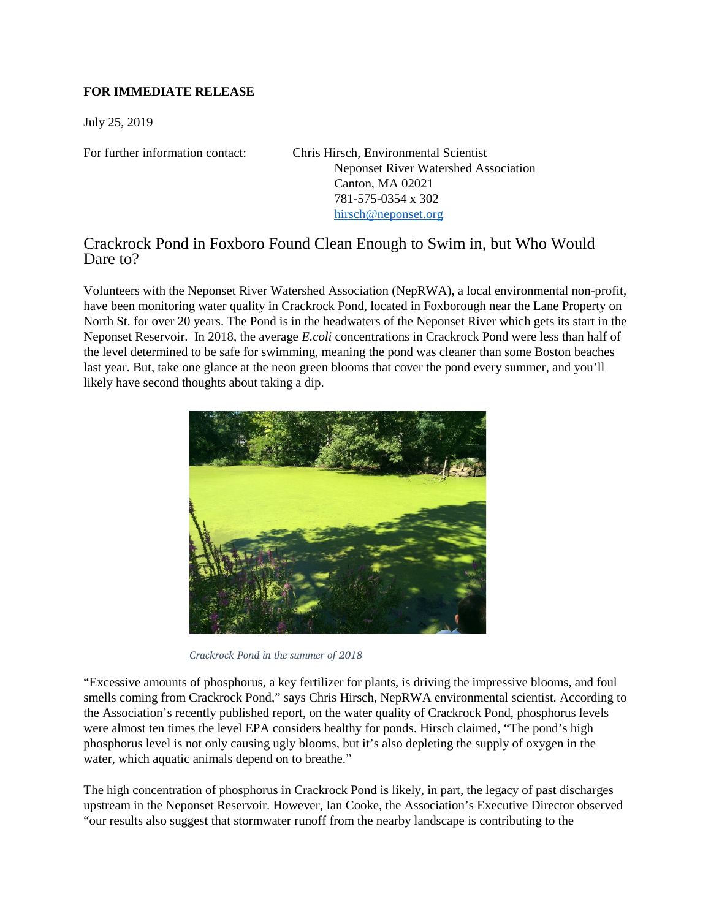## **FOR IMMEDIATE RELEASE**

July 25, 2019

For further information contact: Chris Hirsch, Environmental Scientist Neponset River Watershed Association Canton, MA 02021 781-575-0354 x 302 [hirsch@neponset.org](mailto:hirsch@neponset.org)

## Crackrock Pond in Foxboro Found Clean Enough to Swim in, but Who Would Dare to?

Volunteers with the Neponset River Watershed Association (NepRWA), a local environmental non-profit, have been monitoring water quality in Crackrock Pond, located in Foxborough near the Lane Property on North St. for over 20 years. The Pond is in the headwaters of the Neponset River which gets its start in the Neponset Reservoir. In 2018, the average *E.coli* concentrations in Crackrock Pond were less than half of the level determined to be safe for swimming, meaning the pond was cleaner than some Boston beaches last year. But, take one glance at the neon green blooms that cover the pond every summer, and you'll likely have second thoughts about taking a dip.



*Crackrock Pond in the summer of 2018*

"Excessive amounts of phosphorus, a key fertilizer for plants, is driving the impressive blooms, and foul smells coming from Crackrock Pond," says Chris Hirsch, NepRWA environmental scientist. According to the Association's recently published report, on the water quality of Crackrock Pond, phosphorus levels were almost ten times the level EPA considers healthy for ponds. Hirsch claimed, "The pond's high phosphorus level is not only causing ugly blooms, but it's also depleting the supply of oxygen in the water, which aquatic animals depend on to breathe."

The high concentration of phosphorus in Crackrock Pond is likely, in part, the legacy of past discharges upstream in the Neponset Reservoir. However, Ian Cooke, the Association's Executive Director observed "our results also suggest that stormwater runoff from the nearby landscape is contributing to the